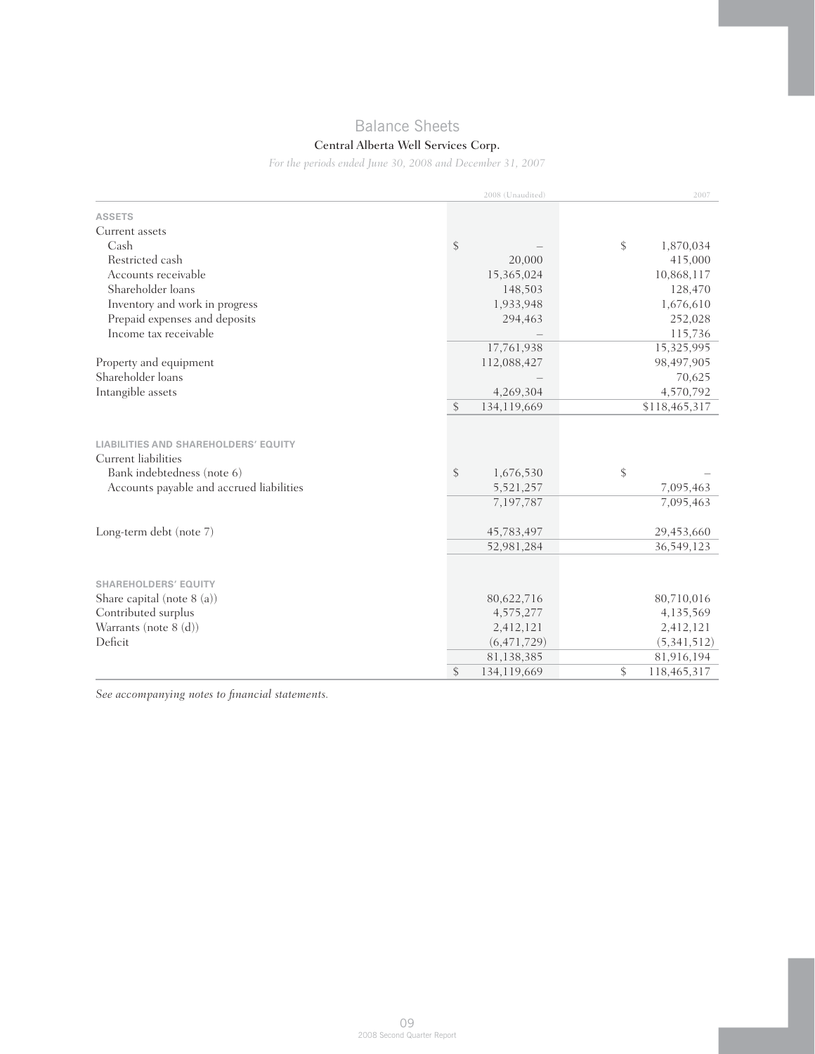# Balance Sheets

## Central Alberta Well Services Corp.

*For the periods ended June 30, 2008 and December 31, 2007*

|                                                                                                                                              | 2008 (Unaudited)                                                    | 2007                                                              |
|----------------------------------------------------------------------------------------------------------------------------------------------|---------------------------------------------------------------------|-------------------------------------------------------------------|
| <b>ASSETS</b>                                                                                                                                |                                                                     |                                                                   |
| Current assets                                                                                                                               |                                                                     |                                                                   |
| Cash                                                                                                                                         | \$                                                                  | \$<br>1,870,034                                                   |
| Restricted cash                                                                                                                              | 20,000                                                              | 415,000                                                           |
| Accounts receivable                                                                                                                          | 15,365,024                                                          | 10,868,117                                                        |
| Shareholder loans                                                                                                                            | 148,503                                                             | 128,470                                                           |
| Inventory and work in progress                                                                                                               | 1,933,948                                                           | 1,676,610                                                         |
| Prepaid expenses and deposits                                                                                                                | 294,463                                                             | 252,028                                                           |
| Income tax receivable                                                                                                                        |                                                                     | 115,736                                                           |
|                                                                                                                                              | 17,761,938                                                          | 15,325,995                                                        |
| Property and equipment                                                                                                                       | 112,088,427                                                         | 98,497,905                                                        |
| Shareholder loans                                                                                                                            |                                                                     | 70,625                                                            |
| Intangible assets                                                                                                                            | 4,269,304                                                           | 4,570,792                                                         |
|                                                                                                                                              | \$<br>134,119,669                                                   | \$118,465,317                                                     |
| <b>LIABILITIES AND SHAREHOLDERS' EQUITY</b><br>Current liabilities<br>Bank indebtedness (note 6)<br>Accounts payable and accrued liabilities | \$<br>1,676,530<br>5,521,257<br>7,197,787                           | \$<br>7,095,463<br>7,095,463                                      |
| Long-term debt (note 7)                                                                                                                      | 45,783,497                                                          | 29,453,660                                                        |
|                                                                                                                                              | 52,981,284                                                          | 36,549,123                                                        |
| <b>SHAREHOLDERS' EQUITY</b><br>Share capital (note 8 (a))<br>Contributed surplus<br>Warrants (note 8 (d))<br>Deficit                         | 80,622,716<br>4,575,277<br>2,412,121<br>(6, 471, 729)<br>81,138,385 | 80,710,016<br>4,135,569<br>2,412,121<br>(5,341,512)<br>81,916,194 |
|                                                                                                                                              | \$<br>134,119,669                                                   | \$<br>118,465,317                                                 |

*See accompanying notes to financial statements.*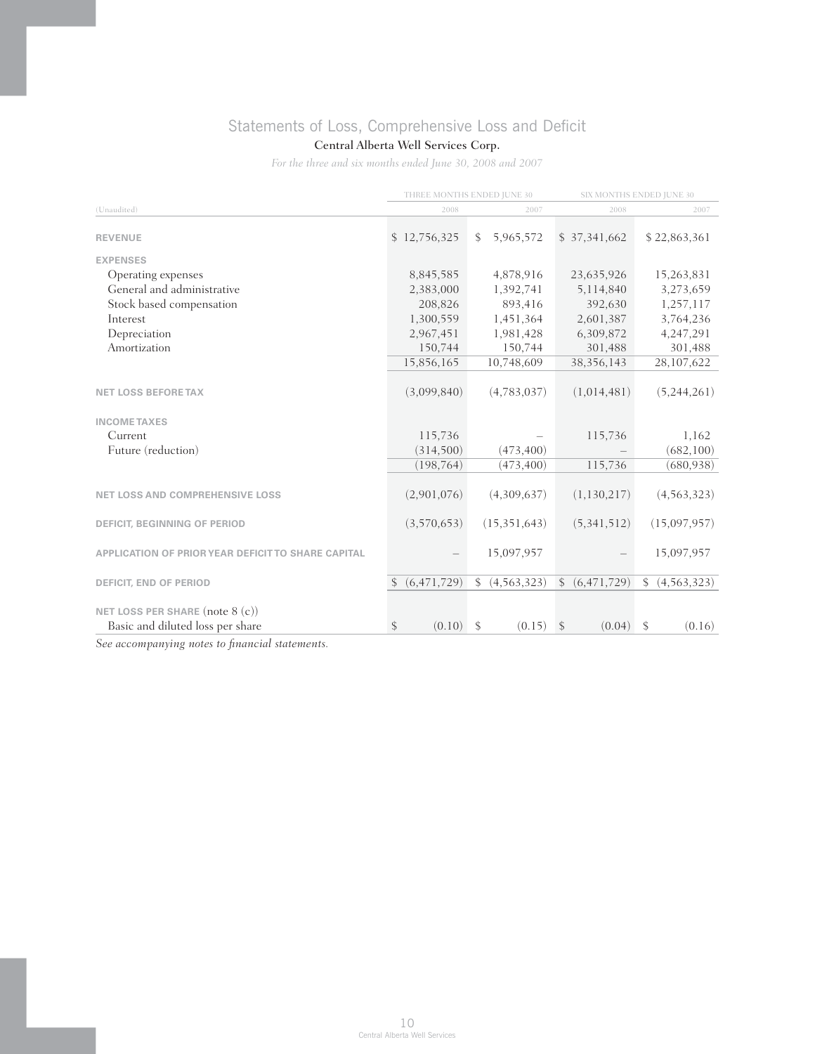# Statements of Loss, Comprehensive Loss and Deficit

## Central Alberta Well Services Corp.

*For the three and six months ended June 30, 2008 and 2007*

|                                                    | THREE MONTHS ENDED JUNE 30 |              |                | SIX MONTHS ENDED JUNE 30 |               |               |               |
|----------------------------------------------------|----------------------------|--------------|----------------|--------------------------|---------------|---------------|---------------|
| (Unaudited)                                        | 2008                       |              | 2007           |                          | 2008          |               | 2007          |
| <b>REVENUE</b>                                     | \$12,756,325               | $\mathbb{S}$ | 5,965,572      |                          | \$37,341,662  |               | \$22,863,361  |
| <b>EXPENSES</b>                                    |                            |              |                |                          |               |               |               |
| Operating expenses                                 | 8,845,585                  |              | 4,878,916      |                          | 23,635,926    |               | 15,263,831    |
| General and administrative                         | 2,383,000                  |              | 1,392,741      |                          | 5,114,840     |               | 3,273,659     |
| Stock based compensation                           | 208,826                    |              | 893,416        |                          | 392,630       |               | 1,257,117     |
| Interest                                           | 1,300,559                  |              | 1,451,364      |                          | 2,601,387     |               | 3,764,236     |
| Depreciation                                       | 2,967,451                  |              | 1,981,428      |                          | 6,309,872     |               | 4,247,291     |
| Amortization                                       | 150,744                    |              | 150,744        |                          | 301,488       |               | 301,488       |
|                                                    | 15,856,165                 |              | 10,748,609     |                          | 38, 356, 143  |               | 28,107,622    |
| <b>NET LOSS BEFORE TAX</b>                         | (3,099,840)                |              | (4,783,037)    |                          | (1,014,481)   |               | (5,244,261)   |
| <b>INCOME TAXES</b>                                |                            |              |                |                          |               |               |               |
| Current                                            | 115,736                    |              |                |                          | 115,736       |               | 1,162         |
| Future (reduction)                                 | (314,500)                  |              | (473, 400)     |                          |               |               | (682, 100)    |
|                                                    | (198, 764)                 |              | (473, 400)     |                          | 115,736       |               | (680, 938)    |
| <b>NET LOSS AND COMPREHENSIVE LOSS</b>             | (2,901,076)                |              | (4,309,637)    |                          | (1,130,217)   |               | (4, 563, 323) |
| <b>DEFICIT, BEGINNING OF PERIOD</b>                | (3,570,653)                |              | (15, 351, 643) |                          | (5,341,512)   |               | (15,097,957)  |
| APPLICATION OF PRIOR YEAR DEFICIT TO SHARE CAPITAL |                            |              | 15,097,957     |                          |               |               | 15,097,957    |
| <b>DEFICIT, END OF PERIOD</b>                      | (6, 471, 729)              | \$           | (4, 563, 323)  | $\mathbb{S}$             | (6, 471, 729) | \$            | (4, 563, 323) |
| NET LOSS PER SHARE (note $8(c)$ )                  |                            |              |                |                          |               |               |               |
| Basic and diluted loss per share                   | \$<br>(0.10)               | \$           | (0.15)         | $\mathcal{S}$            | (0.04)        | $\mathcal{S}$ | (0.16)        |
| See gecommaning notes to financial statements.     |                            |              |                |                          |               |               |               |

*See accompanying notes to financial statements.*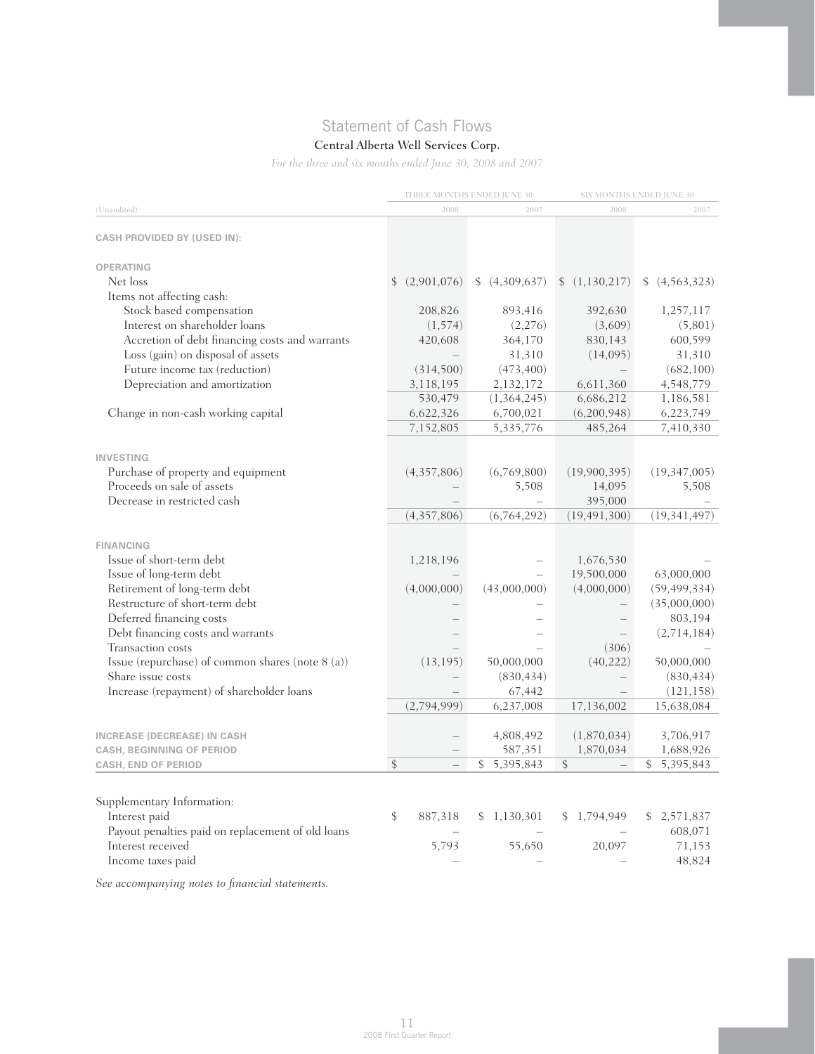# Statement of Cash Flows

## Central Alberta Well Services Corp.

*For the three and six months ended June 30, 2008 and 2007*

| (Unaudited)                                       |               |             | THREE MONTHS ENDED JUNE 30 |                | SIX MONTHS ENDED JUNE 30 |
|---------------------------------------------------|---------------|-------------|----------------------------|----------------|--------------------------|
|                                                   |               | 2008        | 2007                       | 2008           | 2007                     |
| <b>CASH PROVIDED BY (USED IN):</b>                |               |             |                            |                |                          |
|                                                   |               |             |                            |                |                          |
| <b>OPERATING</b>                                  |               |             |                            |                |                          |
| Net loss                                          | \$            | (2,901,076) | (4,309,637)                | (1,130,217)    | (4,563,323)              |
| Items not affecting cash:                         |               |             |                            |                |                          |
| Stock based compensation                          |               | 208,826     | 893,416                    | 392,630        | 1,257,117                |
| Interest on shareholder loans                     |               | (1, 574)    | (2,276)                    | (3,609)        | (5,801)                  |
| Accretion of debt financing costs and warrants    |               | 420,608     | 364,170                    | 830,143        | 600,599                  |
| Loss (gain) on disposal of assets                 |               |             | 31,310                     | (14,095)       | 31,310                   |
| Future income tax (reduction)                     |               | (314,500)   | (473, 400)                 |                | (682, 100)               |
| Depreciation and amortization                     |               | 3,118,195   | 2,132,172                  | 6,611,360      | 4,548,779                |
|                                                   |               | 530,479     | (1, 364, 245)              | 6,686,212      | 1,186,581                |
| Change in non-cash working capital                |               | 6,622,326   | 6,700,021                  | (6,200,948)    | 6,223,749                |
|                                                   |               | 7,152,805   | 5,335,776                  | 485,264        | 7,410,330                |
|                                                   |               |             |                            |                |                          |
| <b>INVESTING</b>                                  |               |             |                            |                |                          |
| Purchase of property and equipment                |               | (4,357,806) | (6,769,800)                | (19,900,395)   | (19, 347, 005)           |
| Proceeds on sale of assets                        |               |             | 5,508                      | 14,095         | 5,508                    |
| Decrease in restricted cash                       |               |             | $\equiv$                   | 395,000        |                          |
|                                                   |               | (4,357,806) | (6,764,292)                | (19, 491, 300) | (19, 341, 497)           |
| <b>FINANCING</b>                                  |               |             |                            |                |                          |
| Issue of short-term debt                          |               | 1,218,196   |                            | 1,676,530      |                          |
| Issue of long-term debt                           |               |             |                            | 19,500,000     | 63,000,000               |
| Retirement of long-term debt                      |               | (4,000,000) | (43,000,000)               | (4,000,000)    | (59, 499, 334)           |
| Restructure of short-term debt                    |               |             |                            |                | (35,000,000)             |
| Deferred financing costs                          |               |             |                            |                | 803,194                  |
| Debt financing costs and warrants                 |               |             |                            |                | (2,714,184)              |
| Transaction costs                                 |               |             |                            | (306)          |                          |
| Issue (repurchase) of common shares (note 8 (a))  |               | (13, 195)   | 50,000,000                 | (40, 222)      | 50,000,000               |
| Share issue costs                                 |               |             | (830, 434)                 |                | (830, 434)               |
| Increase (repayment) of shareholder loans         |               |             | 67,442                     |                | (121, 158)               |
|                                                   |               | (2,794,999) | 6,237,008                  | 17,136,002     | 15,638,084               |
|                                                   |               |             |                            |                |                          |
| <b>INCREASE (DECREASE) IN CASH</b>                |               |             | 4,808,492                  | (1,870,034)    | 3,706,917                |
| <b>CASH, BEGINNING OF PERIOD</b>                  |               |             | 587,351                    | 1,870,034      | 1,688,926                |
| CASH, END OF PERIOD                               | $\mathcal{S}$ |             | \$<br>5,395,843            | \$             | \$5,395,843              |
|                                                   |               |             |                            |                |                          |
| Supplementary Information:                        |               |             |                            |                |                          |
| Interest paid                                     | \$            | 887,318     | \$1,130,301                | \$1,794,949    | 2,571,837                |
| Payout penalties paid on replacement of old loans |               |             |                            |                | 608,071                  |
| Interest received                                 |               | 5,793       | 55,650                     | 20,097         | 71,153                   |
| Income taxes paid                                 |               |             |                            |                | 48,824                   |

*See accompanying notes to financial statements.*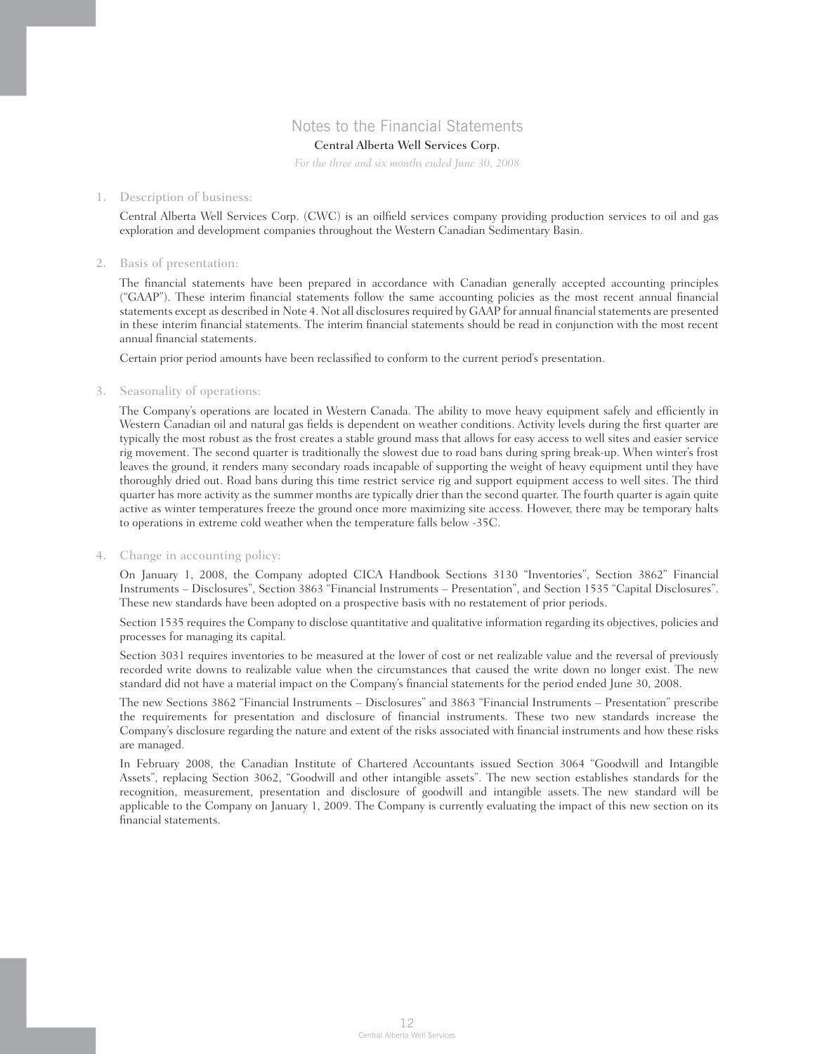## Notes to the Financial Statements

## Central Alberta Well Services Corp.

*For the three and six months ended June 30, 2008*

#### 1. Description of business:

 Central Alberta Well Services Corp. (CWC) is an oilfield services company providing production services to oil and gas exploration and development companies throughout the Western Canadian Sedimentary Basin.

### 2. Basis of presentation:

 The financial statements have been prepared in accordance with Canadian generally accepted accounting principles ("GAAP"). These interim financial statements follow the same accounting policies as the most recent annual financial statements except as described in Note 4. Not all disclosures required by GAAP for annual financial statements are presented in these interim financial statements. The interim financial statements should be read in conjunction with the most recent annual financial statements.

Certain prior period amounts have been reclassified to conform to the current period's presentation.

### 3. Seasonality of operations:

 The Company's operations are located in Western Canada. The ability to move heavy equipment safely and efficiently in Western Canadian oil and natural gas fields is dependent on weather conditions. Activity levels during the first quarter are typically the most robust as the frost creates a stable ground mass that allows for easy access to well sites and easier service rig movement. The second quarter is traditionally the slowest due to road bans during spring break-up. When winter's frost leaves the ground, it renders many secondary roads incapable of supporting the weight of heavy equipment until they have thoroughly dried out. Road bans during this time restrict service rig and support equipment access to well sites. The third quarter has more activity as the summer months are typically drier than the second quarter. The fourth quarter is again quite active as winter temperatures freeze the ground once more maximizing site access. However, there may be temporary halts to operations in extreme cold weather when the temperature falls below -35C.

### 4. Change in accounting policy:

 On January 1, 2008, the Company adopted CICA Handbook Sections 3130 "Inventories", Section 3862" Financial Instruments – Disclosures", Section 3863 "Financial Instruments – Presentation", and Section 1535 "Capital Disclosures". These new standards have been adopted on a prospective basis with no restatement of prior periods.

 Section 1535 requires the Company to disclose quantitative and qualitative information regarding its objectives, policies and processes for managing its capital.

 Section 3031 requires inventories to be measured at the lower of cost or net realizable value and the reversal of previously recorded write downs to realizable value when the circumstances that caused the write down no longer exist. The new standard did not have a material impact on the Company's financial statements for the period ended June 30, 2008.

 The new Sections 3862 "Financial Instruments – Disclosures" and 3863 "Financial Instruments – Presentation" prescribe the requirements for presentation and disclosure of financial instruments. These two new standards increase the Company's disclosure regarding the nature and extent of the risks associated with financial instruments and how these risks are managed.

 In February 2008, the Canadian Institute of Chartered Accountants issued Section 3064 "Goodwill and Intangible Assets", replacing Section 3062, "Goodwill and other intangible assets". The new section establishes standards for the recognition, measurement, presentation and disclosure of goodwill and intangible assets. The new standard will be applicable to the Company on January 1, 2009. The Company is currently evaluating the impact of this new section on its financial statements.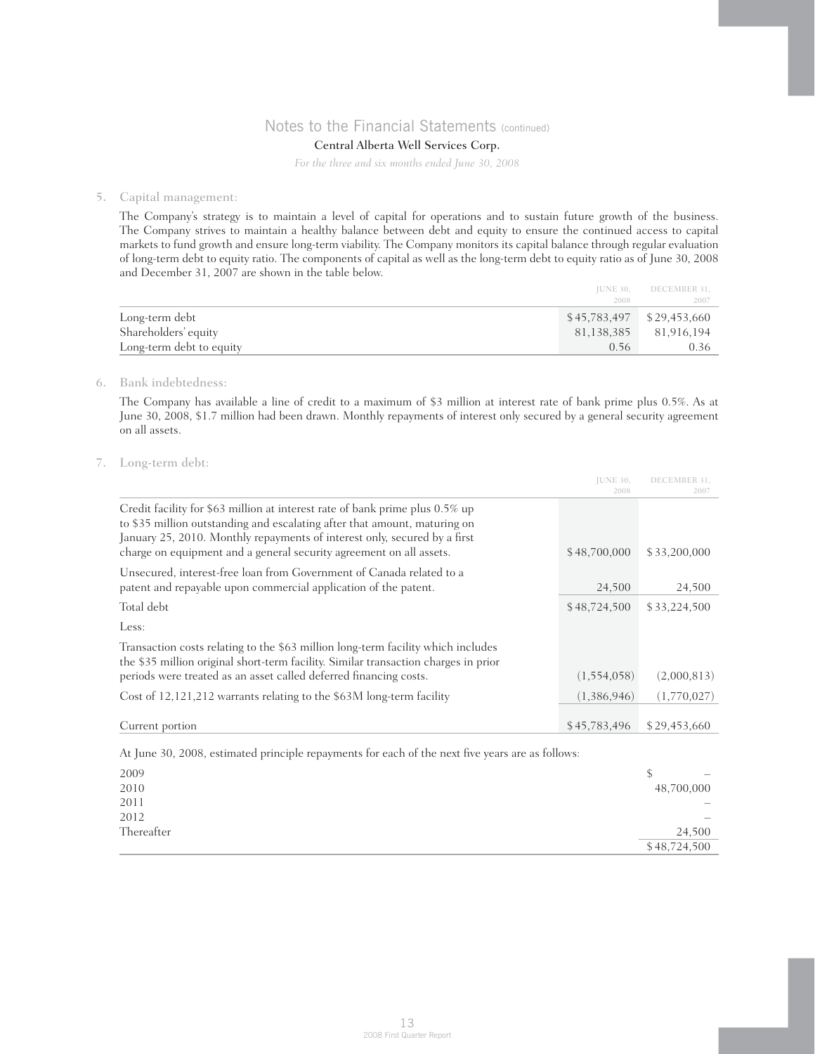## Central Alberta Well Services Corp.

*For the three and six months ended June 30, 2008*

### 5. Capital management:

 The Company's strategy is to maintain a level of capital for operations and to sustain future growth of the business. The Company strives to maintain a healthy balance between debt and equity to ensure the continued access to capital markets to fund growth and ensure long-term viability. The Company monitors its capital balance through regular evaluation of long-term debt to equity ratio. The components of capital as well as the long-term debt to equity ratio as of June 30, 2008 and December 31, 2007 are shown in the table below.

| $$45,783,497$ $$29,453,660$<br>Long-term debt |            |
|-----------------------------------------------|------------|
|                                               |            |
| Shareholders' equity<br>81,138,385            | 81,916,194 |
| Long-term debt to equity<br>0.56              | 0.36-      |

### 6. Bank indebtedness:

 The Company has available a line of credit to a maximum of \$3 million at interest rate of bank prime plus 0.5%. As at June 30, 2008, \$1.7 million had been drawn. Monthly repayments of interest only secured by a general security agreement on all assets.

### 7. Long-term debt:

|                                                                                                                                                                                                                                                                                                               | <b>JUNE 30,</b><br>2008 | DECEMBER 31.<br>2007 |
|---------------------------------------------------------------------------------------------------------------------------------------------------------------------------------------------------------------------------------------------------------------------------------------------------------------|-------------------------|----------------------|
| Credit facility for \$63 million at interest rate of bank prime plus 0.5% up<br>to \$35 million outstanding and escalating after that amount, maturing on<br>January 25, 2010. Monthly repayments of interest only, secured by a first<br>charge on equipment and a general security agreement on all assets. | \$48,700,000            | \$33,200,000         |
| Unsecured, interest-free loan from Government of Canada related to a<br>patent and repayable upon commercial application of the patent.                                                                                                                                                                       | 24,500                  | 24,500               |
| Total debt                                                                                                                                                                                                                                                                                                    | \$48,724,500            | \$33,224,500         |
| Less:                                                                                                                                                                                                                                                                                                         |                         |                      |
| Transaction costs relating to the \$63 million long-term facility which includes<br>the \$35 million original short-term facility. Similar transaction charges in prior<br>periods were treated as an asset called deferred financing costs.                                                                  | (1,554,058)             | (2,000,813)          |
| Cost of 12,121,212 warrants relating to the \$63M long-term facility                                                                                                                                                                                                                                          | (1,386,946)             | (1,770,027)          |
| Current portion                                                                                                                                                                                                                                                                                               | \$45,783,496            | \$29,453,660         |

At June 30, 2008, estimated principle repayments for each of the next five years are as follows:

| 2009       | $\hspace{0.1mm}-\hspace{0.1mm}$ |
|------------|---------------------------------|
| 2010       | 48,700,000                      |
| 2011       | -                               |
| 2012       | $\overline{\phantom{0}}$        |
| Thereafter | 24,500                          |
|            | \$48,724,500                    |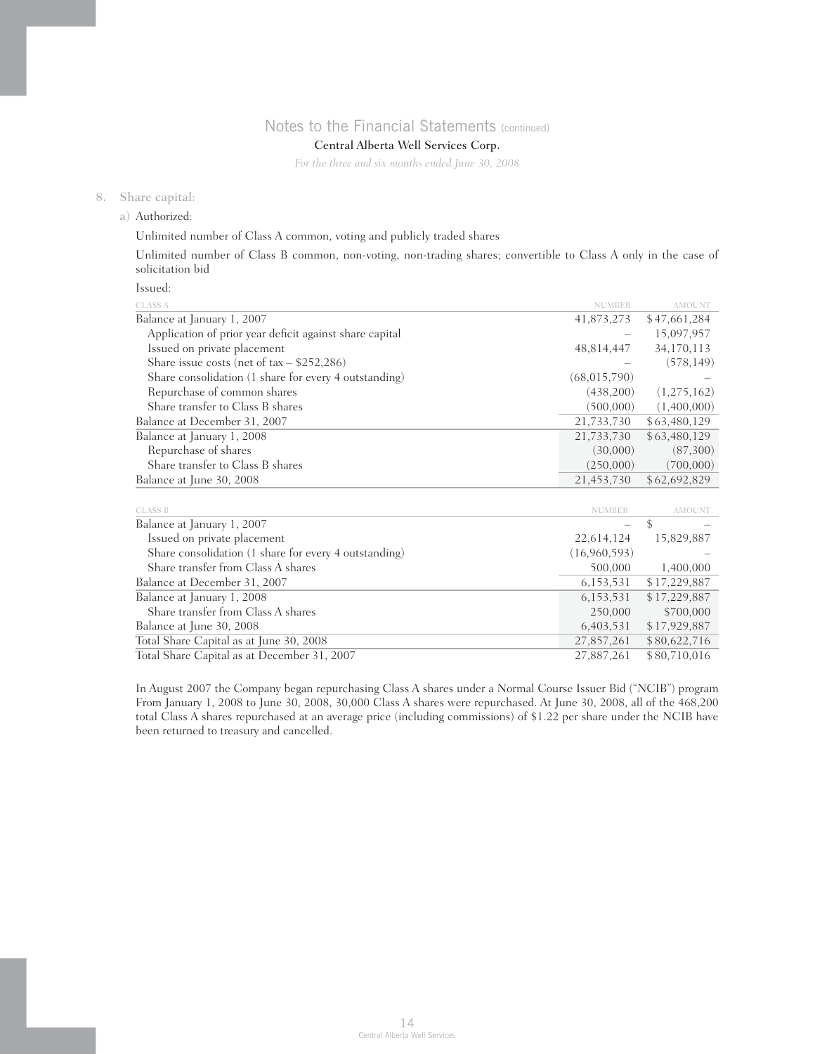## Central Alberta Well Services Corp.

*For the three and six months ended June 30, 2008*

### 8. Share capital:

a) Authorized:

Unlimited number of Class A common, voting and publicly traded shares

 Unlimited number of Class B common, non-voting, non-trading shares; convertible to Class A only in the case of solicitation bid

Issued:

| <b>CLASS A</b>                                          | <b>NUMBER</b>                  | <b>AMOUNT</b>                                                  |
|---------------------------------------------------------|--------------------------------|----------------------------------------------------------------|
| Balance at January 1, 2007                              | 41,873,273                     | \$47,661,284                                                   |
| Application of prior year deficit against share capital |                                | 15,097,957                                                     |
| Issued on private placement                             | 48,814,447                     | 34,170,113                                                     |
| Share issue costs (net of $tax - $252,286$ )            |                                | (578, 149)                                                     |
| Share consolidation (1 share for every 4 outstanding)   | (68,015,790)                   |                                                                |
| Repurchase of common shares                             | (438,200)                      | (1,275,162)                                                    |
| Share transfer to Class B shares                        | (500,000)                      | (1,400,000)                                                    |
| Balance at December 31, 2007                            | 21,733,730                     | \$63,480,129                                                   |
| Balance at January 1, 2008                              | 21,733,730                     | \$63,480,129                                                   |
| Repurchase of shares                                    | (30,000)                       | (87,300)                                                       |
| Share transfer to Class B shares                        | (250,000)                      | (700,000)                                                      |
| Balance at June 30, 2008                                | 21,453,730                     | \$62,692,829                                                   |
| <b>CLASS B</b>                                          | <b>NUMBER</b>                  | AMOUNT                                                         |
| Balance at January 1, 2007                              |                                | \$                                                             |
| Issued on private placement                             | 22,614,124                     | 15,829,887                                                     |
| Share consolidation (1 share for every 4 outstanding)   | (16,960,593)                   |                                                                |
| Share transfer from Class A shares                      | 500,000                        | 1,400,000                                                      |
| -200 <del>1</del> ה- 1 בתוכות                           | $\times$ 1 F $\cap$ F $\cap$ 1 | $^{\circ}$ 1 $^{\circ}$ 0 $^{\circ}$ 0 $^{\circ}$ 0 $^{\circ}$ |

| Balance at December 31, 2007                |            | 6,153,531 \$17,229,887  |
|---------------------------------------------|------------|-------------------------|
| Balance at January 1, 2008                  | 6,153,531  | \$17,229,887            |
| Share transfer from Class A shares          |            | 250,000 \$700,000       |
| Balance at June 30, 2008                    |            | 6,403,531 \$17,929,887  |
| Total Share Capital as at June 30, 2008     | 27.857.261 | \$80,622,716            |
| Total Share Capital as at December 31, 2007 |            | 27,887,261 \$80,710,016 |
|                                             |            |                         |

 In August 2007 the Company began repurchasing Class A shares under a Normal Course Issuer Bid ("NCIB") program From January 1, 2008 to June 30, 2008, 30,000 Class A shares were repurchased. At June 30, 2008, all of the 468,200 total Class A shares repurchased at an average price (including commissions) of \$1.22 per share under the NCIB have been returned to treasury and cancelled.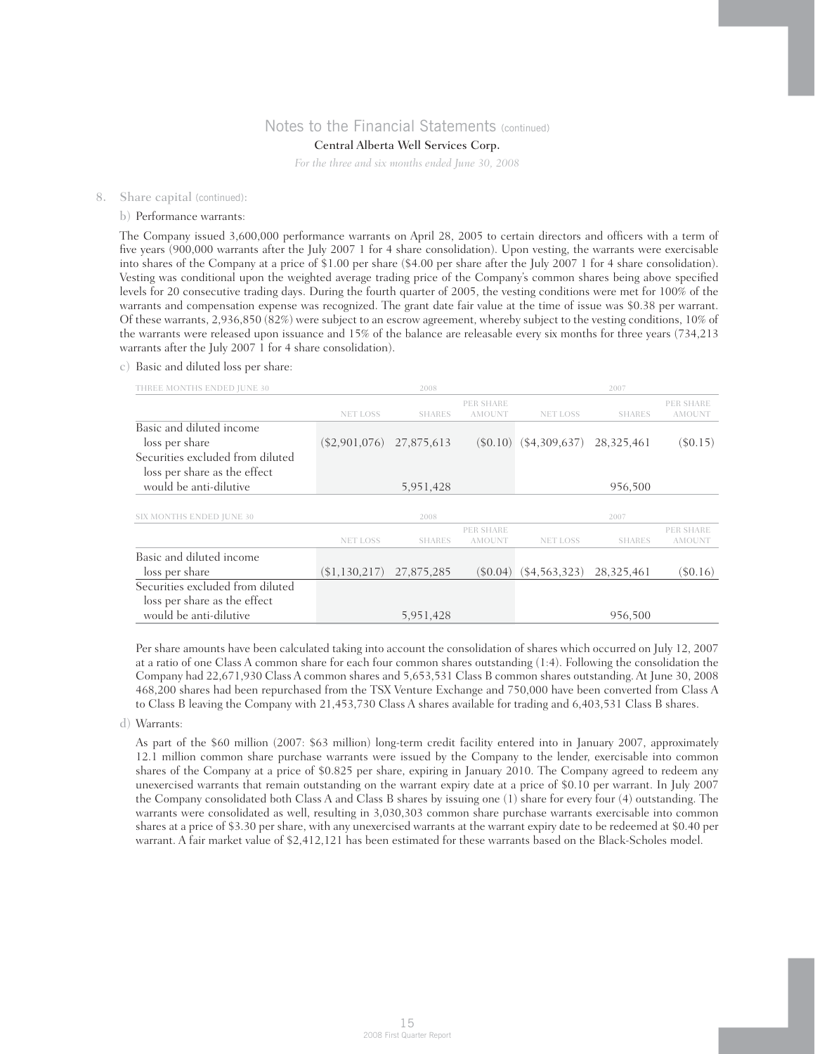## Central Alberta Well Services Corp.

*For the three and six months ended June 30, 2008*

#### 8. Share capital (continued):

#### b) Performance warrants:

 The Company issued 3,600,000 performance warrants on April 28, 2005 to certain directors and officers with a term of five years (900,000 warrants after the July 2007 1 for 4 share consolidation). Upon vesting, the warrants were exercisable into shares of the Company at a price of \$1.00 per share (\$4.00 per share after the July 2007 1 for 4 share consolidation). Vesting was conditional upon the weighted average trading price of the Company's common shares being above specified levels for 20 consecutive trading days. During the fourth quarter of 2005, the vesting conditions were met for 100% of the warrants and compensation expense was recognized. The grant date fair value at the time of issue was \$0.38 per warrant. Of these warrants, 2,936,850 (82%) were subject to an escrow agreement, whereby subject to the vesting conditions, 10% of the warrants were released upon issuance and 15% of the balance are releasable every six months for three years (734,213 warrants after the July 2007 1 for 4 share consolidation).

### c) Basic and diluted loss per share:

| THREE MONTHS ENDED JUNE 30       |                 | 2008          |                            |                 | 2007          |                            |
|----------------------------------|-----------------|---------------|----------------------------|-----------------|---------------|----------------------------|
|                                  | <b>NET LOSS</b> | <b>SHARES</b> | PER SHARE<br><b>AMOUNT</b> | <b>NET LOSS</b> | <b>SHARES</b> | PER SHARE<br><b>AMOUNT</b> |
| Basic and diluted income         |                 |               |                            |                 |               |                            |
| loss per share                   | $(\$2,901,076)$ | 27,875,613    | (S0.10)                    | (\$4,309,637)   | 28,325,461    | $(\$0.15)$                 |
| Securities excluded from diluted |                 |               |                            |                 |               |                            |
| loss per share as the effect     |                 |               |                            |                 |               |                            |
| would be anti-dilutive           |                 | 5,951,428     |                            |                 | 956,500       |                            |
|                                  |                 |               |                            |                 |               |                            |
| SIX MONTHS ENDED JUNE 30         |                 | 2008          |                            |                 | 2007          |                            |
|                                  |                 |               | PER SHARE                  |                 |               | PER SHARE                  |
|                                  | <b>NET LOSS</b> | <b>SHARES</b> | <b>AMOUNT</b>              | <b>NET LOSS</b> | <b>SHARES</b> | <b>AMOUNT</b>              |
| Basic and diluted income         |                 |               |                            |                 |               |                            |
| loss per share                   | (\$1,130,217)   | 27,875,285    | $(\$0.04)$                 | $(\$4,563,323)$ | 28,325,461    | $($ \$0.16)                |
| Securities excluded from diluted |                 |               |                            |                 |               |                            |
| loss per share as the effect     |                 |               |                            |                 |               |                            |
| would be anti-dilutive           |                 | 5,951,428     |                            |                 | 956,500       |                            |

 Per share amounts have been calculated taking into account the consolidation of shares which occurred on July 12, 2007 at a ratio of one Class A common share for each four common shares outstanding (1:4). Following the consolidation the Company had 22,671,930 Class A common shares and 5,653,531 Class B common shares outstanding. At June 30, 2008 468,200 shares had been repurchased from the TSX Venture Exchange and 750,000 have been converted from Class A to Class B leaving the Company with 21,453,730 Class A shares available for trading and 6,403,531 Class B shares.

#### d) Warrants:

 As part of the \$60 million (2007: \$63 million) long-term credit facility entered into in January 2007, approximately 12.1 million common share purchase warrants were issued by the Company to the lender, exercisable into common shares of the Company at a price of \$0.825 per share, expiring in January 2010. The Company agreed to redeem any unexercised warrants that remain outstanding on the warrant expiry date at a price of \$0.10 per warrant. In July 2007 the Company consolidated both Class A and Class B shares by issuing one (1) share for every four (4) outstanding. The warrants were consolidated as well, resulting in 3,030,303 common share purchase warrants exercisable into common shares at a price of \$3.30 per share, with any unexercised warrants at the warrant expiry date to be redeemed at \$0.40 per warrant. A fair market value of \$2,412,121 has been estimated for these warrants based on the Black-Scholes model.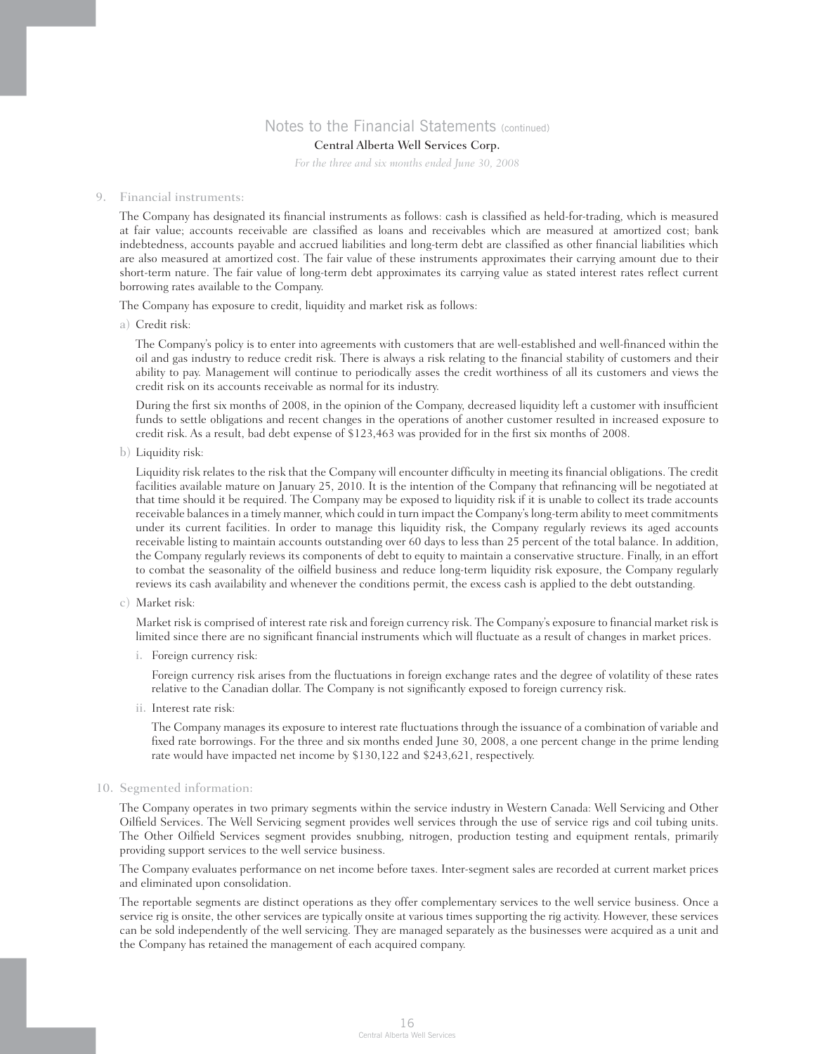## Central Alberta Well Services Corp.

*For the three and six months ended June 30, 2008*

#### 9. Financial instruments:

 The Company has designated its financial instruments as follows: cash is classified as held-for-trading, which is measured at fair value; accounts receivable are classified as loans and receivables which are measured at amortized cost; bank indebtedness, accounts payable and accrued liabilities and long-term debt are classified as other financial liabilities which are also measured at amortized cost. The fair value of these instruments approximates their carrying amount due to their short-term nature. The fair value of long-term debt approximates its carrying value as stated interest rates reflect current borrowing rates available to the Company.

The Company has exposure to credit, liquidity and market risk as follows:

a) Credit risk:

 The Company's policy is to enter into agreements with customers that are well-established and well-financed within the oil and gas industry to reduce credit risk. There is always a risk relating to the financial stability of customers and their ability to pay. Management will continue to periodically asses the credit worthiness of all its customers and views the credit risk on its accounts receivable as normal for its industry.

 During the first six months of 2008, in the opinion of the Company, decreased liquidity left a customer with insufficient funds to settle obligations and recent changes in the operations of another customer resulted in increased exposure to credit risk. As a result, bad debt expense of \$123,463 was provided for in the first six months of 2008.

b) Liquidity risk:

 Liquidity risk relates to the risk that the Company will encounter difficulty in meeting its financial obligations. The credit facilities available mature on January 25, 2010. It is the intention of the Company that refinancing will be negotiated at that time should it be required. The Company may be exposed to liquidity risk if it is unable to collect its trade accounts receivable balances in a timely manner, which could in turn impact the Company's long-term ability to meet commitments under its current facilities. In order to manage this liquidity risk, the Company regularly reviews its aged accounts receivable listing to maintain accounts outstanding over 60 days to less than 25 percent of the total balance. In addition, the Company regularly reviews its components of debt to equity to maintain a conservative structure. Finally, in an effort to combat the seasonality of the oilfield business and reduce long-term liquidity risk exposure, the Company regularly reviews its cash availability and whenever the conditions permit, the excess cash is applied to the debt outstanding.

c) Market risk:

 Market risk is comprised of interest rate risk and foreign currency risk. The Company's exposure to financial market risk is limited since there are no significant financial instruments which will fluctuate as a result of changes in market prices.

i. Foreign currency risk:

 Foreign currency risk arises from the fluctuations in foreign exchange rates and the degree of volatility of these rates relative to the Canadian dollar. The Company is not significantly exposed to foreign currency risk.

ii. Interest rate risk:

 The Company manages its exposure to interest rate fluctuations through the issuance of a combination of variable and fixed rate borrowings. For the three and six months ended June 30, 2008, a one percent change in the prime lending rate would have impacted net income by \$130,122 and \$243,621, respectively.

10. Segmented information:

 The Company operates in two primary segments within the service industry in Western Canada: Well Servicing and Other Oilfield Services. The Well Servicing segment provides well services through the use of service rigs and coil tubing units. The Other Oilfield Services segment provides snubbing, nitrogen, production testing and equipment rentals, primarily providing support services to the well service business.

 The Company evaluates performance on net income before taxes. Inter-segment sales are recorded at current market prices and eliminated upon consolidation.

 The reportable segments are distinct operations as they offer complementary services to the well service business. Once a service rig is onsite, the other services are typically onsite at various times supporting the rig activity. However, these services can be sold independently of the well servicing. They are managed separately as the businesses were acquired as a unit and the Company has retained the management of each acquired company.